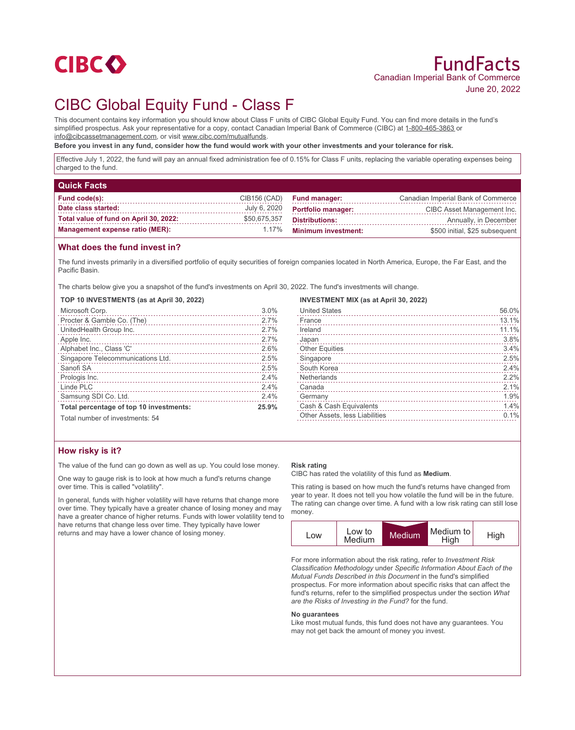

# CIBC Global Equity Fund - Class F

This document contains key information you should know about Class F units of CIBC Global Equity Fund. You can find more details in the fund's simplified prospectus. Ask your representative for a copy, contact Canadian Imperial Bank of Commerce (CIBC) at 1-800-465-3863 or info@cibcassetmanagement.com, or visit www.cibc.com/mutualfunds.

**Before you invest in any fund, consider how the fund would work with your other investments and your tolerance for risk.**

Effective July 1, 2022, the fund will pay an annual fixed administration fee of 0.15% for Class F units, replacing the variable operating expenses being charged to the fund.

| <b>Quick Facts</b>                     |              |                            |                                    |
|----------------------------------------|--------------|----------------------------|------------------------------------|
| Fund code(s):                          | CIB156 (CAD) | <b>Fund manager:</b>       | Canadian Imperial Bank of Commerce |
| Date class started:                    | July 6, 2020 | <b>Portfolio manager:</b>  | CIBC Asset Management Inc.         |
| Total value of fund on April 30, 2022: | \$50,675,357 | <b>Distributions:</b>      | Annually, in December              |
| <b>Management expense ratio (MER):</b> | 1.17%        | <b>Minimum investment:</b> | \$500 initial, \$25 subsequent     |

### **What does the fund invest in?**

The fund invests primarily in a diversified portfolio of equity securities of foreign companies located in North America, Europe, the Far East, and the Pacific Basin.

The charts below give you a snapshot of the fund's investments on April 30, 2022. The fund's investments will change.

#### **TOP 10 INVESTMENTS (as at April 30, 2022)**

| Microsoft Corp.                                          | 3.0%  |
|----------------------------------------------------------|-------|
| Procter & Gamble Co. (The)<br>Procter & Gamble Co. (The) | 2.7%  |
| UnitedHealth Group Inc.                                  | 2.7%  |
| Apple Inc.                                               | 2.7%  |
| Alphabet Inc., Class 'C'                                 | 2.6%  |
| Singapore Telecommunications Ltd.                        | 2.5%  |
| Sanofi SA                                                | 2.5%  |
| Prologis Inc.                                            | 2.4%  |
| Linde PLC                                                | 2.4%  |
| Samsung SDI Co. Ltd.                                     | 2.4%  |
| Total percentage of top 10 investments:                  | 25.9% |
| Total number of investments: 54                          |       |

**INVESTMENT MIX (as at April 30, 2022)**

| <b>United States</b>           | 56.0% |
|--------------------------------|-------|
| France                         | 13.1% |
| Ireland                        | 11.1% |
| Japan                          | 3.8%  |
| <b>Other Equities</b>          | 3.4%  |
| Singapore                      | 2.5%  |
| South Korea                    | 2.4%  |
| Netherlands                    | 2.2%  |
| Canada                         | 2.1%  |
| Germany                        | 1.9%  |
| Cash & Cash Equivalents        | 1.4%  |
| Other Assets, less Liabilities | 0.1%  |
|                                |       |

## **How risky is it?**

The value of the fund can go down as well as up. You could lose money.

One way to gauge risk is to look at how much a fund's returns change over time. This is called "volatility".

In general, funds with higher volatility will have returns that change more over time. They typically have a greater chance of losing money and may have a greater chance of higher returns. Funds with lower volatility tend to have returns that change less over time. They typically have lower returns and may have a lower chance of losing money.

#### **Risk rating**

CIBC has rated the volatility of this fund as **Medium**.

This rating is based on how much the fund's returns have changed from year to year. It does not tell you how volatile the fund will be in the future. The rating can change over time. A fund with a low risk rating can still lose money.



For more information about the risk rating, refer to *Investment Risk Classification Methodology* under *Specific Information About Each of the Mutual Funds Described in this Document* in the fund's simplified prospectus. For more information about specific risks that can affect the fund's returns, refer to the simplified prospectus under the section *What are the Risks of Investing in the Fund?* for the fund.

#### **No guarantees**

Like most mutual funds, this fund does not have any guarantees. You may not get back the amount of money you invest.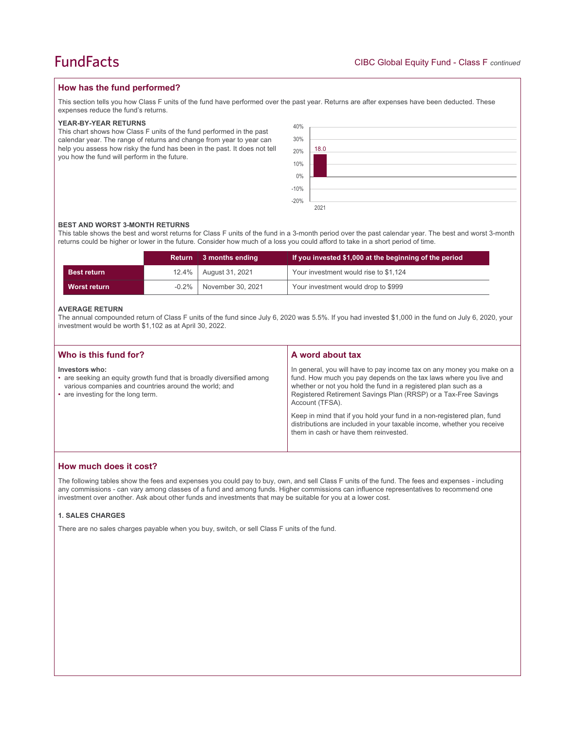## **How has the fund performed?**

This section tells you how Class F units of the fund have performed over the past year. Returns are after expenses have been deducted. These expenses reduce the fund's returns.

#### **YEAR-BY-YEAR RETURNS**

This chart shows how Class F units of the fund performed in the past calendar year. The range of returns and change from year to year can help you assess how risky the fund has been in the past. It does not tell you how the fund will perform in the future.

| 40%<br>30%<br>20% | 18.0 |
|-------------------|------|
| 10%<br>$0\%$      |      |
| $-10%$<br>$-20%$  |      |
|                   | 2021 |

#### **BEST AND WORST 3-MONTH RETURNS**

This table shows the best and worst returns for Class F units of the fund in a 3-month period over the past calendar year. The best and worst 3-month returns could be higher or lower in the future. Consider how much of a loss you could afford to take in a short period of time.

|                    | Return   | 3 months ending   | If you invested \$1,000 at the beginning of the period |
|--------------------|----------|-------------------|--------------------------------------------------------|
| <b>Best return</b> | $12.4\%$ | August 31, 2021   | Your investment would rise to \$1,124                  |
| Worst return       | $-0.2\%$ | November 30, 2021 | Your investment would drop to \$999                    |

#### **AVERAGE RETURN**

The annual compounded return of Class F units of the fund since July 6, 2020 was 5.5%. If you had invested \$1,000 in the fund on July 6, 2020, your investment would be worth \$1,102 as at April 30, 2022.

| Who is this fund for?                                                                                                                                                                  | A word about tax                                                                                                                                                                                                                                                                                     |
|----------------------------------------------------------------------------------------------------------------------------------------------------------------------------------------|------------------------------------------------------------------------------------------------------------------------------------------------------------------------------------------------------------------------------------------------------------------------------------------------------|
| Investors who:<br>• are seeking an equity growth fund that is broadly diversified among<br>various companies and countries around the world; and<br>• are investing for the long term. | In general, you will have to pay income tax on any money you make on a<br>fund. How much you pay depends on the tax laws where you live and<br>whether or not you hold the fund in a registered plan such as a<br>Registered Retirement Savings Plan (RRSP) or a Tax-Free Savings<br>Account (TFSA). |
|                                                                                                                                                                                        | Keep in mind that if you hold your fund in a non-registered plan, fund<br>distributions are included in your taxable income, whether you receive<br>them in cash or have them reinvested.                                                                                                            |

## **How much does it cost?**

The following tables show the fees and expenses you could pay to buy, own, and sell Class F units of the fund. The fees and expenses - including any commissions - can vary among classes of a fund and among funds. Higher commissions can influence representatives to recommend one investment over another. Ask about other funds and investments that may be suitable for you at a lower cost.

#### **1. SALES CHARGES**

There are no sales charges payable when you buy, switch, or sell Class F units of the fund.